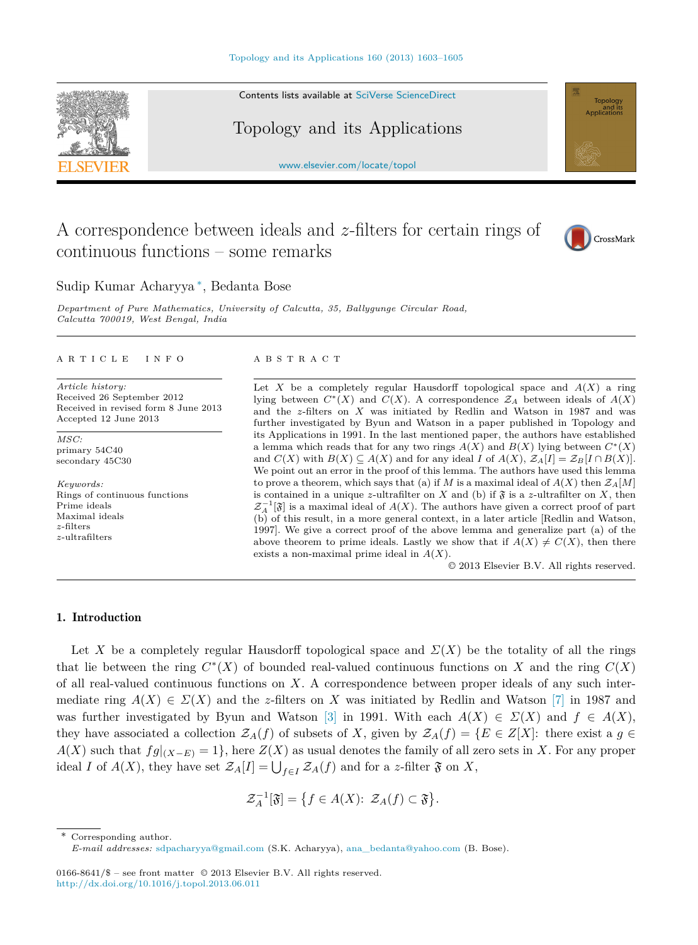Contents lists available at [SciVerse ScienceDirect](http://www.ScienceDirect.com/)

Topology and its Applications

[www.elsevier.com/locate/topol](http://www.elsevier.com/locate/topol)

# A correspondence between ideals and *z*-filters for certain rings of continuous functions – some remarks

## Sudip Kumar Acharyya ∗, Bedanta Bose

*Department of Pure Mathematics, University of Calcutta, 35, Bal lygunge Circular Road, Calcutta 700019, West Bengal, India*

#### article info abstract

*Article history:* Received 26 September 2012 Received in revised form 8 June 2013 Accepted 12 June 2013

*MSC:* primary 54C40 secondary 45C30

*Keywords:* Rings of continuous functions Prime ideals Maximal ideals *z*-filters *z*-ultrafilters

Let *X* be a completely regular Hausdorff topological space and  $A(X)$  a ring lying between  $C^*(X)$  and  $C(X)$ . A correspondence  $\mathcal{Z}_A$  between ideals of  $A(X)$ and the *z*-filters on *X* was initiated by Redlin and Watson in 1987 and was further investigated by Byun and Watson in a paper published in Topology and its Applications in 1991. In the last mentioned paper, the authors have established a lemma which reads that for any two rings  $A(X)$  and  $B(X)$  lying between  $C^*(X)$ and  $C(X)$  with  $B(X) \subseteq A(X)$  and for any ideal *I* of  $A(X)$ ,  $\mathcal{Z}_A[I] = \mathcal{Z}_B[I \cap B(X)]$ . We point out an error in the proof of this lemma. The authors have used this lemma to prove a theorem, which says that (a) if *M* is a maximal ideal of  $A(X)$  then  $\mathcal{Z}_A[M]$ is contained in a unique *z*-ultrafilter on *X* and (b) if  $\mathfrak{F}$  is a *z*-ultrafilter on *X*, then  $\mathcal{Z}_A^{-1}[\mathfrak{F}]$  is a maximal ideal of *A*(*X*). The authors have given a correct proof of part (b) of this result, in a more general context, in a later article [Redlin and Watson, 1997]. We give a correct proof of the above lemma and generalize part (a) of the above theorem to prime ideals. Lastly we show that if  $A(X) \neq C(X)$ , then there exists a non-maximal prime ideal in *A*(*X*).

© 2013 Elsevier B.V. All rights reserved.

#### 1. Introduction

Let X be a completely regular Hausdorff topological space and  $\Sigma(X)$  be the totality of all the rings that lie between the ring  $C<sup>*</sup>(X)$  of bounded real-valued continuous functions on X and the ring  $C(X)$ of all real-valued continuous functions on *X*. A correspondence between proper ideals of any such intermediate ring  $A(X) \in \Sigma(X)$  and the *z*-filters on X was initiated by Redlin and Watson [\[7\]](#page-2-0) in 1987 and was further investigated by Byun and Watson [\[3\]](#page-2-0) in 1991. With each  $A(X) \in \Sigma(X)$  and  $f \in A(X)$ , they have associated a collection  $\mathcal{Z}_A(f)$  of subsets of *X*, given by  $\mathcal{Z}_A(f) = \{E \in Z[X]: \text{ there exist a } g \in E\}$  $A(X)$  such that  $fg|_{(X-E)} = 1$ , here  $Z(X)$  as usual denotes the family of all zero sets in *X*. For any proper ideal *I* of  $A(X)$ , they have set  $\mathcal{Z}_A[I] = \bigcup_{f \in I} \mathcal{Z}_A(f)$  and for a *z*-filter  $\mathfrak{F}$  on *X*,

$$
\mathcal{Z}_A^{-1}[\mathfrak{F}] = \{ f \in A(X): \mathcal{Z}_A(f) \subset \mathfrak{F} \}.
$$

Corresponding author.







*E-mail addresses:* [sdpacharyya@gmail.com](mailto:sdpacharyya@gmail.com) (S.K. Acharyya), [ana\\_bedanta@yahoo.com](mailto:ana_bedanta@yahoo.com) (B. Bose).

<sup>0166-8641/\$ –</sup> see front matter  $\odot$  2013 Elsevier B.V. All rights reserved. <http://dx.doi.org/10.1016/j.topol.2013.06.011>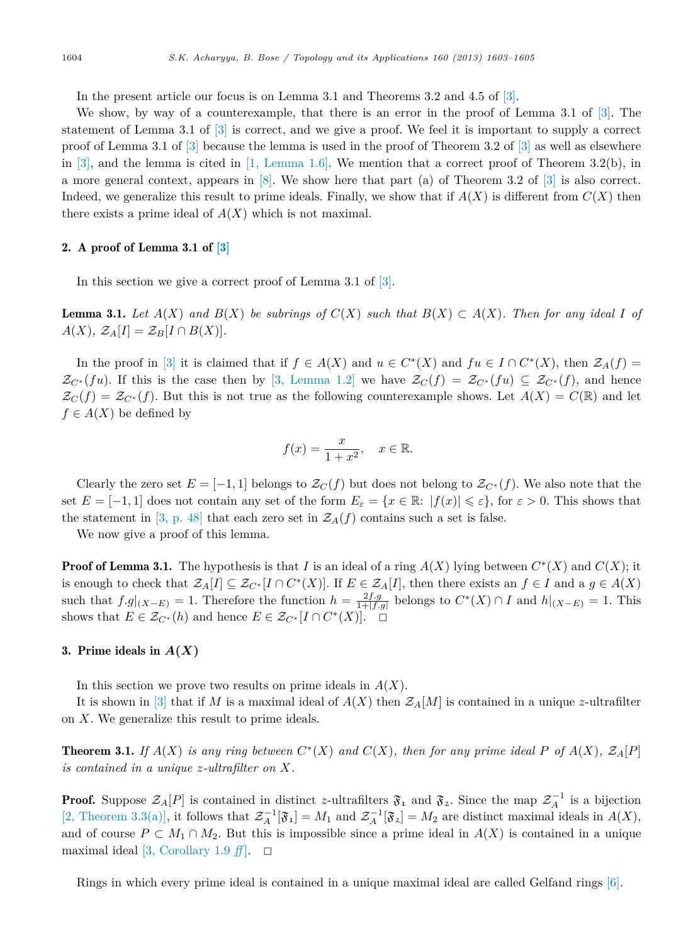<span id="page-1-0"></span>In the present article our focus is on Lemma 3.1 and Theorems 3.2 and 4.5 of [\[3\].](#page-2-0)

We show, by way of a counterexample, that there is an error in the proof of Lemma 3.1 of [\[3\].](#page-2-0) The statement of Lemma 3.1 of [\[3\]](#page-2-0) is correct, and we give a proof. We feel it is important to supply a correct proof of Lemma 3.1 of [\[3\]](#page-2-0) because the lemma is used in the proof of Theorem 3.2 of [\[3\]](#page-2-0) as well as elsewhere in [\[3\],](#page-2-0) and the lemma is cited in  $[1, \text{ Lemma } 1.6]$ . We mention that a correct proof of Theorem 3.2(b), in a more general context, appears in [\[8\].](#page-2-0) We show here that part (a) of Theorem 3.2 of [\[3\]](#page-2-0) is also correct. Indeed, we generalize this result to prime ideals. Finally, we show that if  $A(X)$  is different from  $C(X)$  then there exists a prime ideal of  $A(X)$  which is not maximal.

### 2. A proof of Lemma 3.1 of [\[3\]](#page-2-0)

In this section we give a correct proof of Lemma 3.1 of [\[3\].](#page-2-0)

**Lemma 3.1.** Let  $A(X)$  and  $B(X)$  be subrings of  $C(X)$  such that  $B(X) \subset A(X)$ . Then for any ideal I of  $A(X)$ *,*  $\mathcal{Z}_A[I] = \mathcal{Z}_B[I \cap B(X)]$ *.* 

In the proof in [\[3\]](#page-2-0) it is claimed that if  $f \in A(X)$  and  $u \in C^*(X)$  and  $fu \in I \cap C^*(X)$ , then  $\mathcal{Z}_A(f) =$  $\mathcal{Z}_{C^*}(fu)$ . If this is the case then by [\[3, Lemma 1.2\]](#page-2-0) we have  $\mathcal{Z}_{C}(f) = \mathcal{Z}_{C^*}(fu) \subseteq \mathcal{Z}_{C^*}(f)$ , and hence  $\mathcal{Z}_C(f) = \mathcal{Z}_{C^*}(f)$ . But this is not true as the following counterexample shows. Let  $A(X) = C(\mathbb{R})$  and let  $f \in A(X)$  be defined by

$$
f(x) = \frac{x}{1+x^2}, \quad x \in \mathbb{R}.
$$

Clearly the zero set  $E = [-1, 1]$  belongs to  $\mathcal{Z}_C(f)$  but does not belong to  $\mathcal{Z}_{C^*}(f)$ . We also note that the set  $E = [-1, 1]$  does not contain any set of the form  $E_{\varepsilon} = \{x \in \mathbb{R}: |f(x)| \leqslant \varepsilon\}$ , for  $\varepsilon > 0$ . This shows that the statement in [\[3, p. 48\]](#page-2-0) that each zero set in  $\mathcal{Z}_A(f)$  contains such a set is false.

We now give a proof of this lemma.

**Proof of Lemma 3.1.** The hypothesis is that *I* is an ideal of a ring  $A(X)$  lying between  $C^*(X)$  and  $C(X)$ ; it is enough to check that  $\mathcal{Z}_A[I] \subseteq \mathcal{Z}_{C^*}[I \cap C^*(X)]$ . If  $E \in \mathcal{Z}_A[I]$ , then there exists an  $f \in I$  and a  $g \in A(X)$ such that  $f.g|_{(X-E)} = 1$ . Therefore the function  $h = \frac{2f.g}{1+|f.g|}$  belongs to  $C^*(X) \cap I$  and  $h|_{(X-E)} = 1$ . This shows that  $E \in \mathcal{Z}_{C^*}(h)$  and hence  $E \in \mathcal{Z}_{C^*}[I \cap C^*(X)]. \square$ 

#### 3. Prime ideals in  $A(X)$

In this section we prove two results on prime ideals in *A*(*X*).

It is shown in  $[3]$  that if *M* is a maximal ideal of  $A(X)$  then  $\mathcal{Z}_A[M]$  is contained in a unique *z*-ultrafilter on *X*. We generalize this result to prime ideals.

**Theorem 3.1.** If  $A(X)$  is any ring between  $C^*(X)$  and  $C(X)$ , then for any prime ideal P of  $A(X)$ ,  $\mathcal{Z}_A[P]$ *is contained in a unique z-ultrafilter on X.*

**Proof.** Suppose  $\mathcal{Z}_A[P]$  is contained in distinct *z*-ultrafilters  $\mathfrak{F}_1$  and  $\mathfrak{F}_2$ . Since the map  $\mathcal{Z}_A^{-1}$  is a bijection [\[2, Theorem 3.3\(a\)\],](#page-2-0) it follows that  $\mathcal{Z}_A^{-1}[\mathfrak{F}_1] = M_1$  and  $\mathcal{Z}_A^{-1}[\mathfrak{F}_2] = M_2$  are distinct maximal ideals in  $A(X)$ , and of course  $P \subset M_1 \cap M_2$ . But this is impossible since a prime ideal in  $A(X)$  is contained in a unique maximal ideal  $[3, Corollary 1.9 \text{ ff}]$  $[3, Corollary 1.9 \text{ ff}]$ .  $\Box$ 

Rings in which every prime ideal is contained in a unique maximal ideal are called Gelfand rings [\[6\].](#page-2-0)